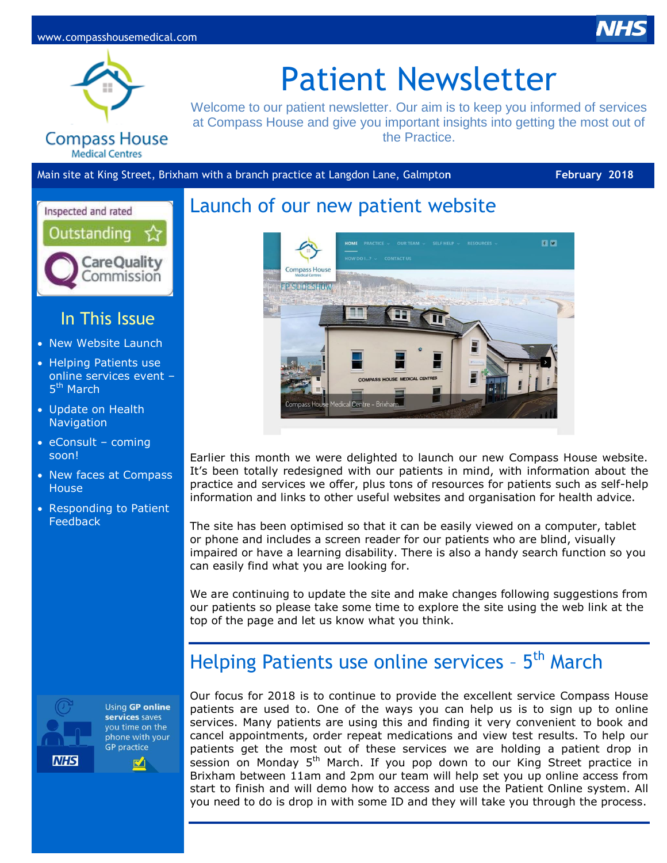



# Patient Newsletter

Welcome to our patient newsletter. Our aim is to keep you informed of services at Compass House and give you important insights into getting the most out of the Practice.

### **Compass House Medical Centres**

Main site at King Street, Brixham with a branch practice at Langdon Lane, Galmpto**n February 2018**



### In This Issue

- New Website Launch
- Helping Patients use online services event – 5<sup>th</sup> March
- Update on Health **Navigation**
- $\bullet$  eConsult coming soon!
- New faces at Compass **House**
- Responding to Patient **Feedback**



Using GP online services saves you time on the phone with your **GP** practice  $\mathbb{Z}^4$ 

## Launch of our new patient website



Earlier this month we were delighted to launch our new Compass House website. It's been totally redesigned with our patients in mind, with information about the practice and services we offer, plus tons of resources for patients such as self-help information and links to other useful websites and organisation for health advice.

The site has been optimised so that it can be easily viewed on a computer, tablet or phone and includes a screen reader for our patients who are blind, visually impaired or have a learning disability. There is also a handy search function so you can easily find what you are looking for.

We are continuing to update the site and make changes following suggestions from our patients so please take some time to explore the site using the web link at the top of the page and let us know what you think.

# Helping Patients use online services - 5<sup>th</sup> March

Our focus for 2018 is to continue to provide the excellent service Compass House patients are used to. One of the ways you can help us is to sign up to online services. Many patients are using this and finding it very convenient to book and cancel appointments, order repeat medications and view test results. To help our patients get the most out of these services we are holding a patient drop in session on Monday 5<sup>th</sup> March. If you pop down to our King Street practice in Brixham between 11am and 2pm our team will help set you up online access from start to finish and will demo how to access and use the Patient Online system. All you need to do is drop in with some ID and they will take you through the process.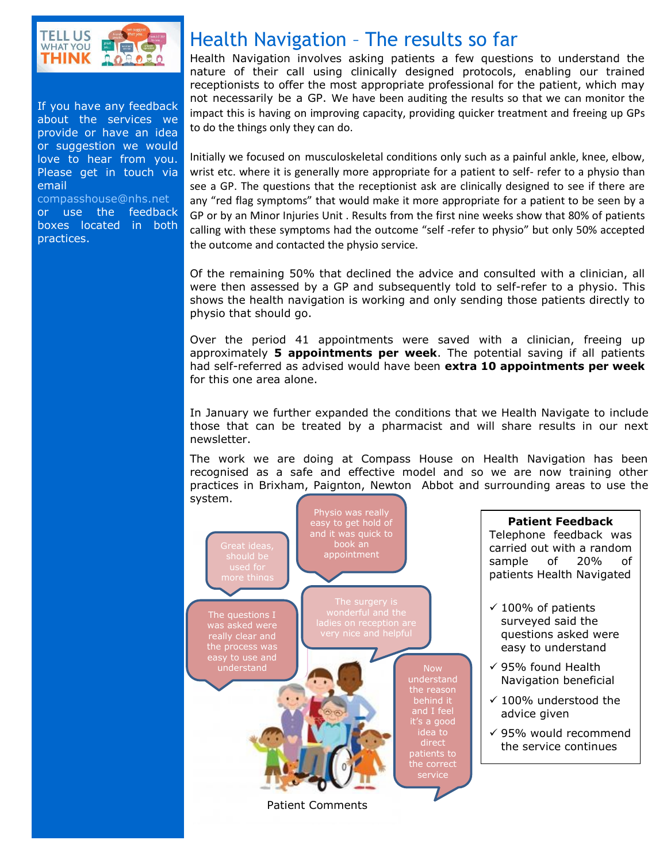

If you have any feedback about the services we provide or have an idea or suggestion we would love to hear from you. Please get in touch via email [compasshouse@nhs.net](mailto:compasshouse@nhs.net)

or use the feedback boxes located in both practices.

# Health Navigation – The results so far

Health Navigation involves asking patients a few questions to understand the nature of their call using clinically designed protocols, enabling our trained receptionists to offer the most appropriate professional for the patient, which may not necessarily be a GP. We have been auditing the results so that we can monitor the impact this is having on improving capacity, providing quicker treatment and freeing up GPs to do the things only they can do.

Initially we focused on musculoskeletal conditions only such as a painful ankle, knee, elbow, wrist etc. where it is generally more appropriate for a patient to self- refer to a physio than see a GP. The questions that the receptionist ask are clinically designed to see if there are any "red flag symptoms" that would make it more appropriate for a patient to be seen by a GP or by an Minor Injuries Unit . Results from the first nine weeks show that 80% of patients calling with these symptoms had the outcome "self -refer to physio" but only 50% accepted the outcome and contacted the physio service.

Of the remaining 50% that declined the advice and consulted with a clinician, all were then assessed by a GP and subsequently told to self-refer to a physio. This shows the health navigation is working and only sending those patients directly to physio that should go.

Over the period 41 appointments were saved with a clinician, freeing up approximately **5 appointments per week**. The potential saving if all patients had self-referred as advised would have been **extra 10 appointments per week** for this one area alone.

In January we further expanded the conditions that we Health Navigate to include those that can be treated by a pharmacist and will share results in our next newsletter.

The work we are doing at Compass House on Health Navigation has been recognised as a safe and effective model and so we are now training other practices in Brixham, Paignton, Newton Abbot and surrounding areas to use the



### **Patient Feedback** Telephone feedback was carried out with a random sample of 20% of patients Health Navigated

- $\checkmark$  100% of patients surveyed said the questions asked were easy to understand
- $\checkmark$  95% found Health Navigation beneficial
- $\checkmark$  100% understood the advice given
- $\checkmark$  95% would recommend the service continues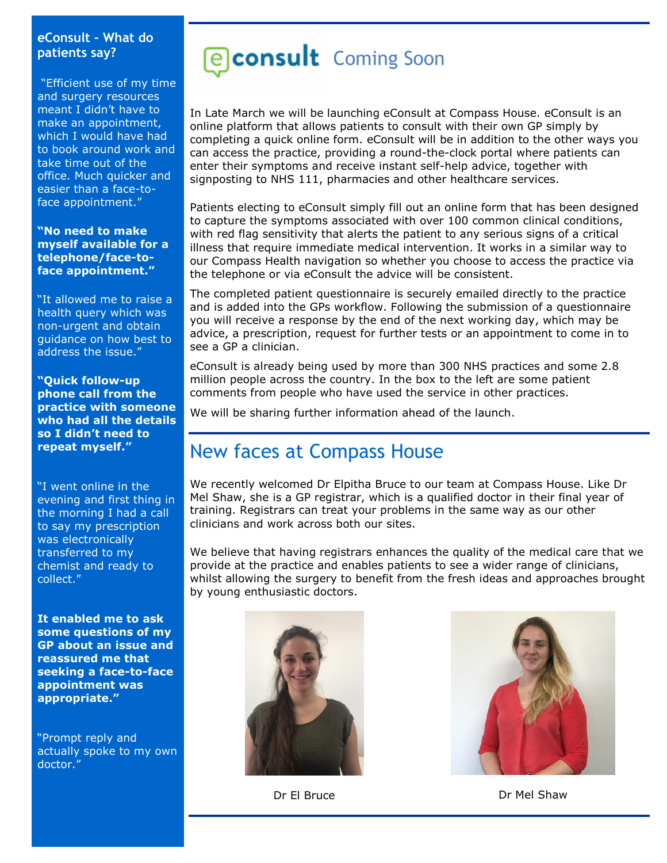### **eConsult – What do patients say?**

"Efficient use of my time and surgery resources meant I didn't have to make an appointment, which I would have had to book around work and take time out of the office. Much quicker and easier than a face-toface appointment."

**"No need to make myself available for a telephone/face-toface appointment."**

"It allowed me to raise a health query which was non-urgent and obtain guidance on how best to address the issue."

**"Quick follow-up phone call from the practice with someone who had all the details so I didn't need to repeat myself."**

"I went online in the evening and first thing in the morning I had a call to say my prescription was electronically transferred to my chemist and ready to collect."

**It enabled me to ask some questions of my GP about an issue and reassured me that seeking a face-to-face appointment was appropriate."**

"Prompt reply and actually spoke to my own doctor."

# **Pconsult** Coming Soon

In Late March we will be launching eConsult at Compass House. eConsult is an online platform that allows patients to consult with their own GP simply by completing a quick online form. eConsult will be in addition to the other ways you can access the practice, providing a round-the-clock portal where patients can enter their symptoms and receive instant self-help advice, together with signposting to NHS 111, pharmacies and other healthcare services.

Patients electing to eConsult simply fill out an online form that has been designed to capture the symptoms associated with over 100 common clinical conditions, with red flag sensitivity that alerts the patient to any serious signs of a critical illness that require immediate medical intervention. It works in a similar way to our Compass Health navigation so whether you choose to access the practice via the telephone or via eConsult the advice will be consistent.

The completed patient questionnaire is securely emailed directly to the practice and is added into the GPs workflow. Following the submission of a questionnaire you will receive a response by the end of the next working day, which may be advice, a prescription, request for further tests or an appointment to come in to see a GP a clinician.

eConsult is already being used by more than 300 NHS practices and some 2.8 million people across the country. In the box to the left are some patient comments from people who have used the service in other practices.

We will be sharing further information ahead of the launch.

## New faces at Compass House

We recently welcomed Dr Elpitha Bruce to our team at Compass House. Like Dr Mel Shaw, she is a GP registrar, which is a qualified doctor in their final year of training. Registrars can treat your problems in the same way as our other clinicians and work across both our sites.

We believe that having registrars enhances the quality of the medical care that we provide at the practice and enables patients to see a wider range of clinicians, whilst allowing the surgery to benefit from the fresh ideas and approaches brought by young enthusiastic doctors.



Dr El Bruce Dr Mel Shaw